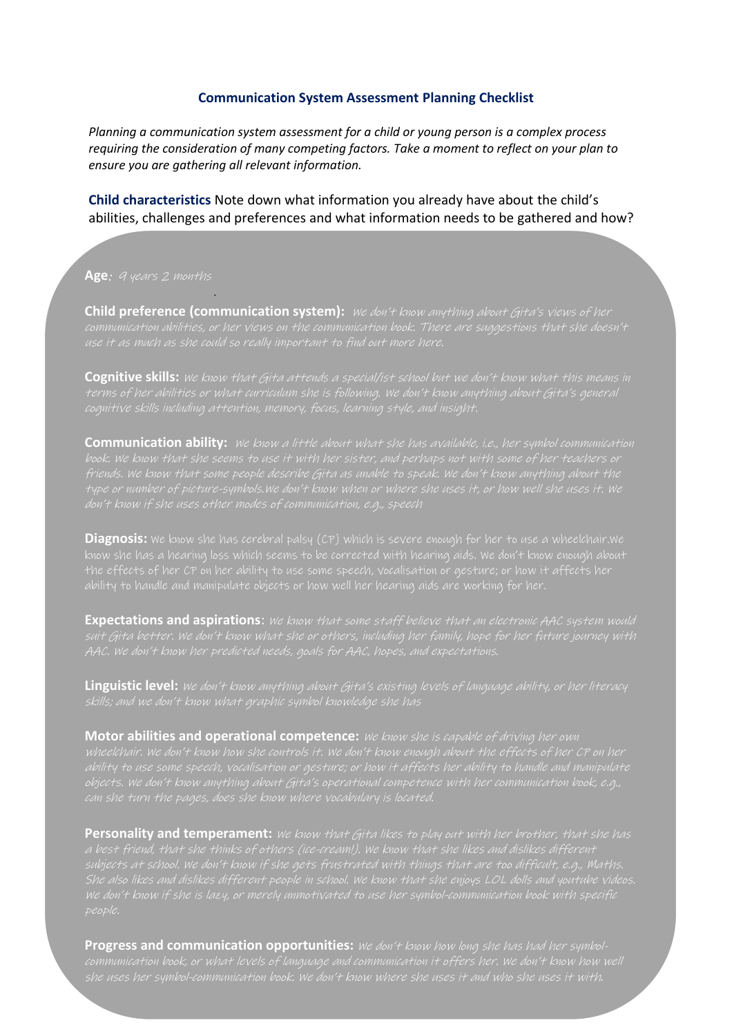#### **Communication System Assessment Planning Checklist**

*Planning a communication system assessment for a child or young person is a complex process requiring the consideration of many competing factors. Take a moment to reflect on your plan to ensure you are gathering all relevant information.* 

**Child characteristics** Note down what information you already have about the child's abilities, challenges and preferences and what information needs to be gathered and how?

Age: *A years 2 months* 

**Child preference (communication system):** We don't know anything about Gita's views of her

**Cognitive skills:** We know that Gita attends a special/ist school but we don't know what this means in

**Communication ability:** *We know a little about what she has available, i.e., her symbol communication* 

**Diagnosis:** We know she has cerebral palsy (CP) which is severe enough for her to use a wheelchair.We

**Expectations and aspirations**: We know that some staff believe that an electronic AAC system would

**Linguistic level:** We don't know anything about Gita's existing levels of language ability, or her literacy

**Motor abilities and operational competence:** We know she is capable of driving her own

Personality and temperament: we know that Gita likes to play out with her brother, that she has a best friend, that she thinks of others (ice-cream!). We know that she likes and dislikes different subjects at school. We don't know if she gets frustrated with things that are too difficult, e.g., Maths.

**Progress and communication opportunities:** We don't know how long she has had her symbol-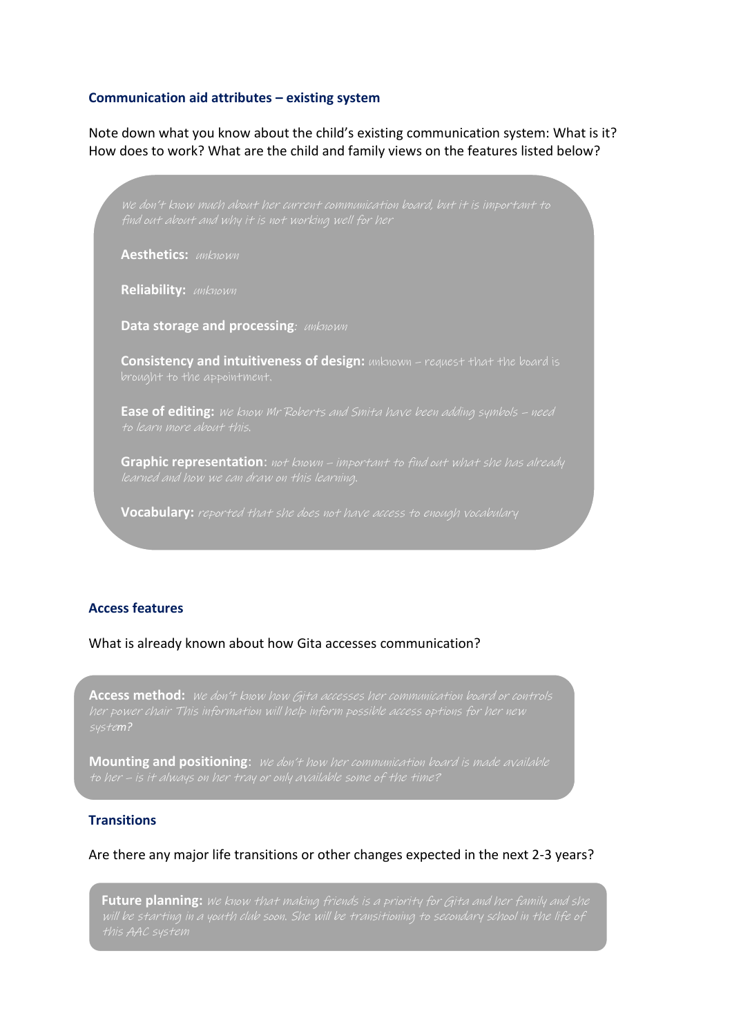### **Communication aid attributes – existing system**

Note down what you know about the child's existing communication system: What is it? How does to work? What are the child and family views on the features listed below?

**Aesthetics: unknown Reliability: unknown Data storage and processing**: *unknown* **Consistency and intuitiveness of design:** unknown – request that the board is **Ease of editing:** We know Mr Roberts and Smita have been adding symbols – need **Graphic representation**: not known – important to find out what she has already

### **Access features**

What is already known about how Gita accesses communication?

Access method: *We don't know how Gita accesses her communication board or controls* 

**Vocabulary:** reported that she does not have access to enough vocabulary

**Mounting and positioning:** We don't how her communication board is made available

# **Transitions**

Are there any major life transitions or other changes expected in the next 2-3 years?

**Future planning:** We know that making friends is a priority for Gita and her family and she